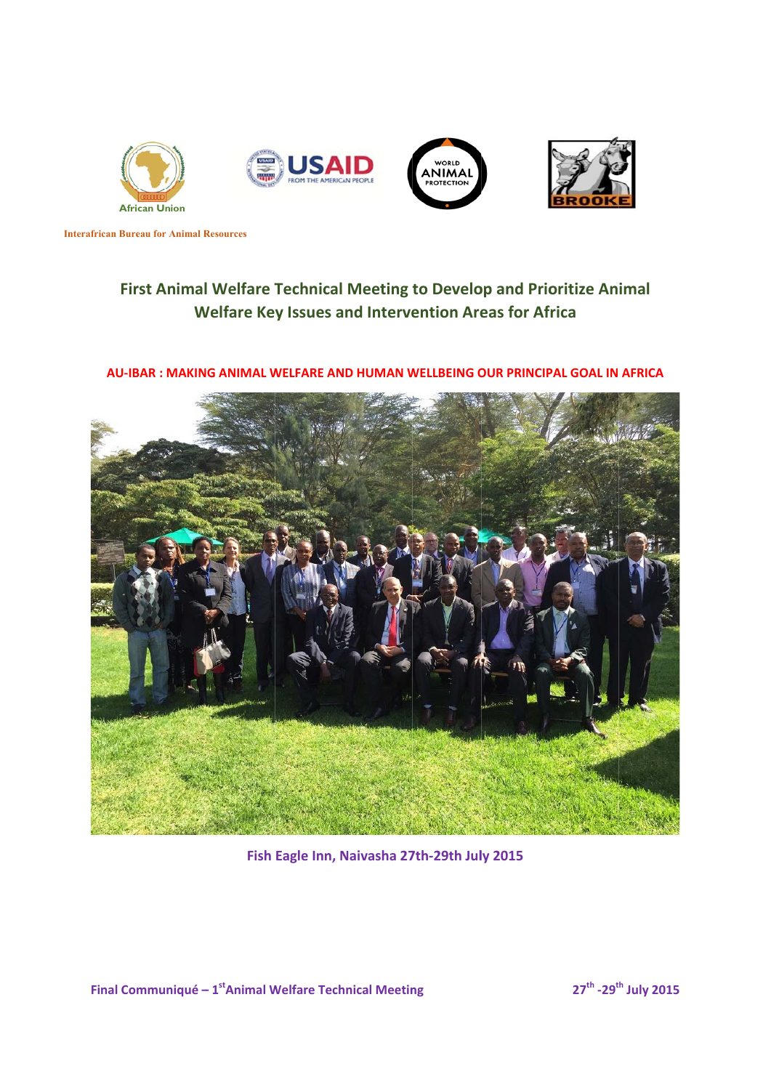

**Interafrican Bureau for Animal Resources** 

# **First Animal Welfare Technical Meeting to Develop and Prioritize Animal** Welfare Key Issues and Intervention Areas for Africa

# AU-IBAR : MAKING ANIMAL WELFARE AND HUMAN WELLBEING OUR PRINCIPAL GOAL IN AFRICA



**Fish Eagle Inn, N Naivasha 27 7th‐29th Jul ly 2015**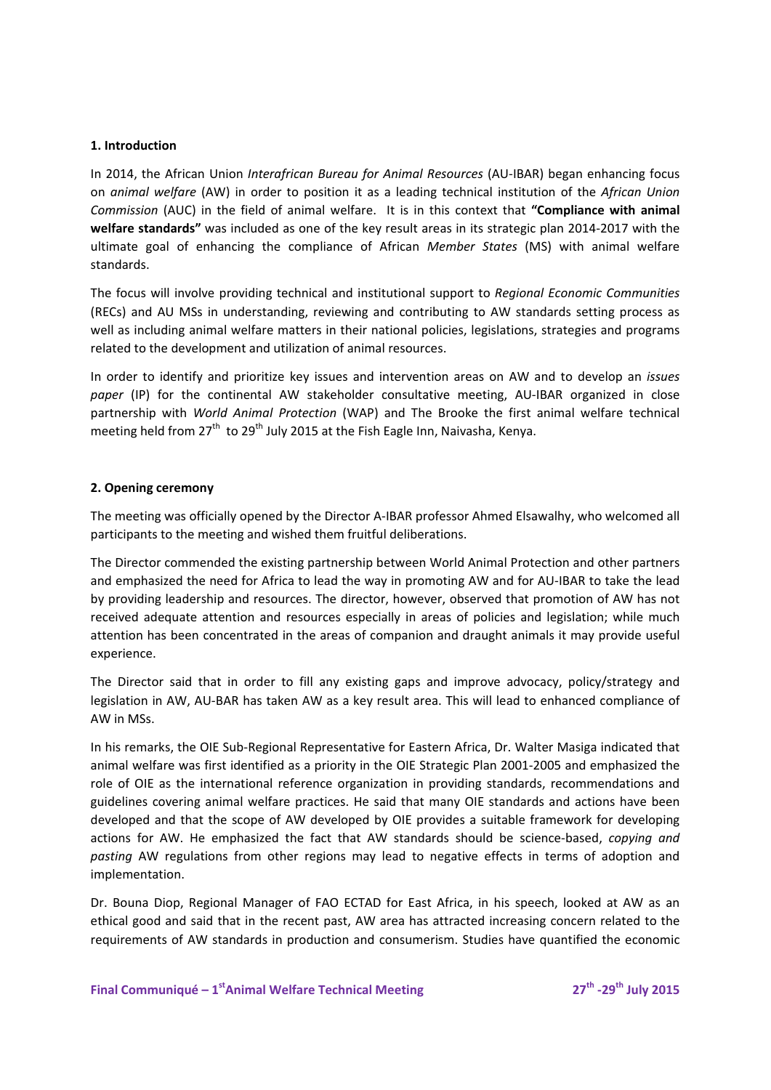## **1. Introduction**

In 2014, the African Union *Interafrican Bureau for Animal Resources* (AU‐IBAR) began enhancing focus on *animal welfare* (AW) in order to position it as a leading technical institution of the *African Union Commission* (AUC) in the field of animal welfare. It is in this context that **"Compliance with animal welfare standards"** was included as one of the key result areas in its strategic plan 2014‐2017 with the ultimate goal of enhancing the compliance of African *Member States* (MS) with animal welfare standards.

The focus will involve providing technical and institutional support to *Regional Economic Communities* (RECs) and AU MSs in understanding, reviewing and contributing to AW standards setting process as well as including animal welfare matters in their national policies, legislations, strategies and programs related to the development and utilization of animal resources.

In order to identify and prioritize key issues and intervention areas on AW and to develop an *issues* paper (IP) for the continental AW stakeholder consultative meeting, AU-IBAR organized in close partnership with *World Animal Protection* (WAP) and The Brooke the first animal welfare technical meeting held from  $27<sup>th</sup>$  to  $29<sup>th</sup>$  July 2015 at the Fish Eagle Inn, Naivasha, Kenya.

## **2. Opening ceremony**

The meeting was officially opened by the Director A‐IBAR professor Ahmed Elsawalhy, who welcomed all participants to the meeting and wished them fruitful deliberations.

The Director commended the existing partnership between World Animal Protection and other partners and emphasized the need for Africa to lead the way in promoting AW and for AU‐IBAR to take the lead by providing leadership and resources. The director, however, observed that promotion of AW has not received adequate attention and resources especially in areas of policies and legislation; while much attention has been concentrated in the areas of companion and draught animals it may provide useful experience.

The Director said that in order to fill any existing gaps and improve advocacy, policy/strategy and legislation in AW, AU‐BAR has taken AW as a key result area. This will lead to enhanced compliance of AW in MSs.

In his remarks, the OIE Sub-Regional Representative for Eastern Africa, Dr. Walter Masiga indicated that animal welfare was first identified as a priority in the OIE Strategic Plan 2001‐2005 and emphasized the role of OIE as the international reference organization in providing standards, recommendations and guidelines covering animal welfare practices. He said that many OIE standards and actions have been developed and that the scope of AW developed by OIE provides a suitable framework for developing actions for AW. He emphasized the fact that AW standards should be science‐based, *copying and pasting* AW regulations from other regions may lead to negative effects in terms of adoption and implementation.

Dr. Bouna Diop, Regional Manager of FAO ECTAD for East Africa, in his speech, looked at AW as an ethical good and said that in the recent past, AW area has attracted increasing concern related to the requirements of AW standards in production and consumerism. Studies have quantified the economic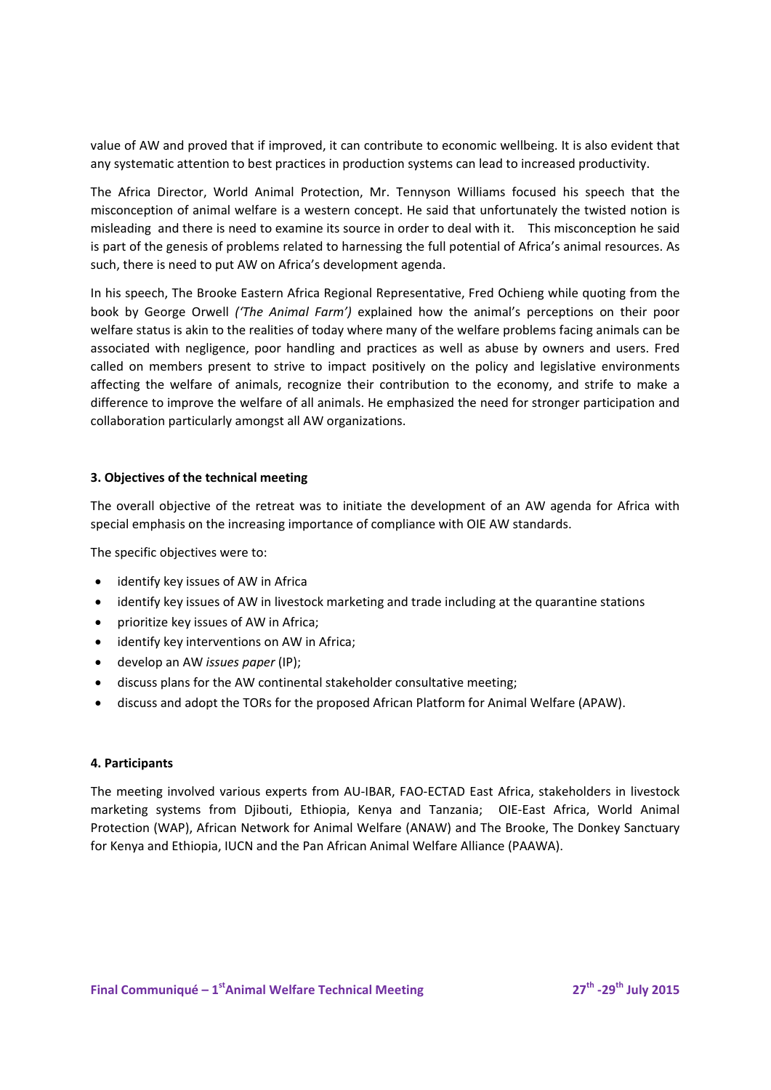value of AW and proved that if improved, it can contribute to economic wellbeing. It is also evident that any systematic attention to best practices in production systems can lead to increased productivity.

The Africa Director, World Animal Protection, Mr. Tennyson Williams focused his speech that the misconception of animal welfare is a western concept. He said that unfortunately the twisted notion is misleading and there is need to examine its source in order to deal with it. This misconception he said is part of the genesis of problems related to harnessing the full potential of Africa's animal resources. As such, there is need to put AW on Africa's development agenda.

In his speech, The Brooke Eastern Africa Regional Representative, Fred Ochieng while quoting from the book by George Orwell *('The Animal Farm')* explained how the animal's perceptions on their poor welfare status is akin to the realities of today where many of the welfare problems facing animals can be associated with negligence, poor handling and practices as well as abuse by owners and users. Fred called on members present to strive to impact positively on the policy and legislative environments affecting the welfare of animals, recognize their contribution to the economy, and strife to make a difference to improve the welfare of all animals. He emphasized the need for stronger participation and collaboration particularly amongst all AW organizations.

## **3. Objectives of the technical meeting**

The overall objective of the retreat was to initiate the development of an AW agenda for Africa with special emphasis on the increasing importance of compliance with OIE AW standards.

The specific objectives were to:

- identify key issues of AW in Africa
- identify key issues of AW in livestock marketing and trade including at the quarantine stations
- prioritize key issues of AW in Africa;
- identify key interventions on AW in Africa;
- develop an AW *issues paper* (IP);
- discuss plans for the AW continental stakeholder consultative meeting;
- discuss and adopt the TORs for the proposed African Platform for Animal Welfare (APAW).

### **4. Participants**

The meeting involved various experts from AU‐IBAR, FAO‐ECTAD East Africa, stakeholders in livestock marketing systems from Djibouti, Ethiopia, Kenya and Tanzania; OIE-East Africa, World Animal Protection (WAP), African Network for Animal Welfare (ANAW) and The Brooke, The Donkey Sanctuary for Kenya and Ethiopia, IUCN and the Pan African Animal Welfare Alliance (PAAWA).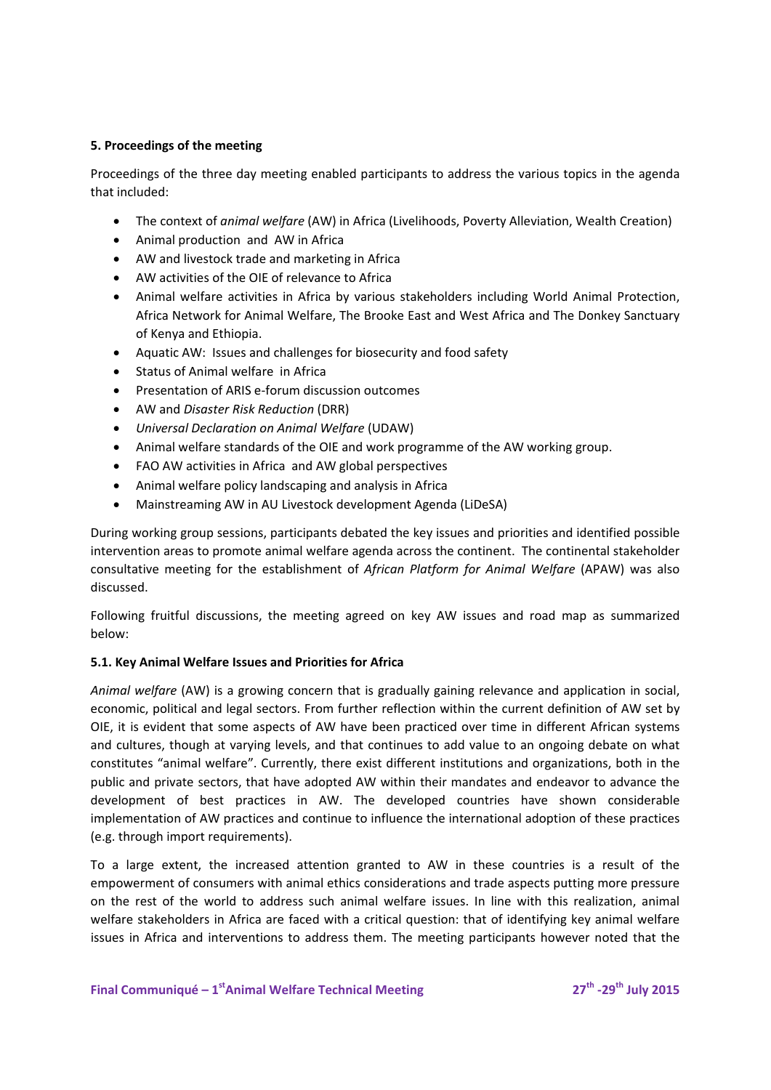# **5. Proceedings of the meeting**

Proceedings of the three day meeting enabled participants to address the various topics in the agenda that included:

- The context of *animal welfare* (AW) in Africa (Livelihoods, Poverty Alleviation, Wealth Creation)
- Animal production and AW in Africa
- AW and livestock trade and marketing in Africa
- AW activities of the OIE of relevance to Africa
- Animal welfare activities in Africa by various stakeholders including World Animal Protection, Africa Network for Animal Welfare, The Brooke East and West Africa and The Donkey Sanctuary of Kenya and Ethiopia.
- Aquatic AW: Issues and challenges for biosecurity and food safety
- Status of Animal welfare in Africa
- Presentation of ARIS e-forum discussion outcomes
- AW and *Disaster Risk Reduction* (DRR)
- *Universal Declaration on Animal Welfare* (UDAW)
- Animal welfare standards of the OIE and work programme of the AW working group.
- FAO AW activities in Africa and AW global perspectives
- Animal welfare policy landscaping and analysis in Africa
- Mainstreaming AW in AU Livestock development Agenda (LiDeSA)

During working group sessions, participants debated the key issues and priorities and identified possible intervention areas to promote animal welfare agenda across the continent. The continental stakeholder consultative meeting for the establishment of *African Platform for Animal Welfare* (APAW) was also discussed.

Following fruitful discussions, the meeting agreed on key AW issues and road map as summarized below:

# **5.1. Key Animal Welfare Issues and Priorities for Africa**

*Animal welfare* (AW) is a growing concern that is gradually gaining relevance and application in social, economic, political and legal sectors. From further reflection within the current definition of AW set by OIE, it is evident that some aspects of AW have been practiced over time in different African systems and cultures, though at varying levels, and that continues to add value to an ongoing debate on what constitutes "animal welfare". Currently, there exist different institutions and organizations, both in the public and private sectors, that have adopted AW within their mandates and endeavor to advance the development of best practices in AW. The developed countries have shown considerable implementation of AW practices and continue to influence the international adoption of these practices (e.g. through import requirements).

To a large extent, the increased attention granted to AW in these countries is a result of the empowerment of consumers with animal ethics considerations and trade aspects putting more pressure on the rest of the world to address such animal welfare issues. In line with this realization, animal welfare stakeholders in Africa are faced with a critical question: that of identifying key animal welfare issues in Africa and interventions to address them. The meeting participants however noted that the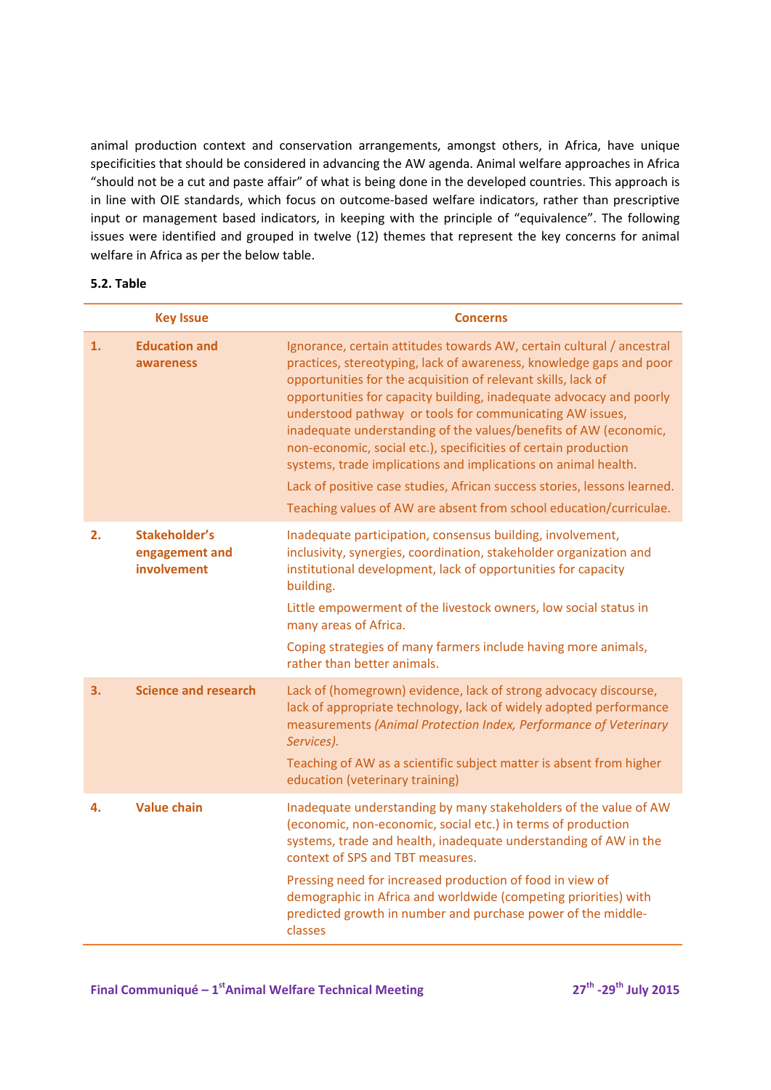animal production context and conservation arrangements, amongst others, in Africa, have unique specificities that should be considered in advancing the AW agenda. Animal welfare approaches in Africa "should not be a cut and paste affair" of what is being done in the developed countries. This approach is in line with OIE standards, which focus on outcome‐based welfare indicators, rather than prescriptive input or management based indicators, in keeping with the principle of "equivalence". The following issues were identified and grouped in twelve (12) themes that represent the key concerns for animal welfare in Africa as per the below table.

## **5.2. Table**

| <b>Key Issue</b> |                                                | <b>Concerns</b>                                                                                                                                                                                                                                                                                                                                                                                                                                                                                                                                                                                                                                                                                             |  |
|------------------|------------------------------------------------|-------------------------------------------------------------------------------------------------------------------------------------------------------------------------------------------------------------------------------------------------------------------------------------------------------------------------------------------------------------------------------------------------------------------------------------------------------------------------------------------------------------------------------------------------------------------------------------------------------------------------------------------------------------------------------------------------------------|--|
| 1.               | <b>Education and</b><br>awareness              | Ignorance, certain attitudes towards AW, certain cultural / ancestral<br>practices, stereotyping, lack of awareness, knowledge gaps and poor<br>opportunities for the acquisition of relevant skills, lack of<br>opportunities for capacity building, inadequate advocacy and poorly<br>understood pathway or tools for communicating AW issues,<br>inadequate understanding of the values/benefits of AW (economic,<br>non-economic, social etc.), specificities of certain production<br>systems, trade implications and implications on animal health.<br>Lack of positive case studies, African success stories, lessons learned.<br>Teaching values of AW are absent from school education/curriculae. |  |
| 2.               | Stakeholder's<br>engagement and<br>involvement | Inadequate participation, consensus building, involvement,<br>inclusivity, synergies, coordination, stakeholder organization and<br>institutional development, lack of opportunities for capacity<br>building.<br>Little empowerment of the livestock owners, low social status in<br>many areas of Africa.<br>Coping strategies of many farmers include having more animals,<br>rather than better animals.                                                                                                                                                                                                                                                                                                |  |
| 3.               | <b>Science and research</b>                    | Lack of (homegrown) evidence, lack of strong advocacy discourse,<br>lack of appropriate technology, lack of widely adopted performance<br>measurements (Animal Protection Index, Performance of Veterinary<br>Services).<br>Teaching of AW as a scientific subject matter is absent from higher<br>education (veterinary training)                                                                                                                                                                                                                                                                                                                                                                          |  |
| 4.               | Value chain                                    | Inadequate understanding by many stakeholders of the value of AW<br>(economic, non-economic, social etc.) in terms of production<br>systems, trade and health, inadequate understanding of AW in the<br>context of SPS and TBT measures.<br>Pressing need for increased production of food in view of<br>demographic in Africa and worldwide (competing priorities) with<br>predicted growth in number and purchase power of the middle-<br>classes                                                                                                                                                                                                                                                         |  |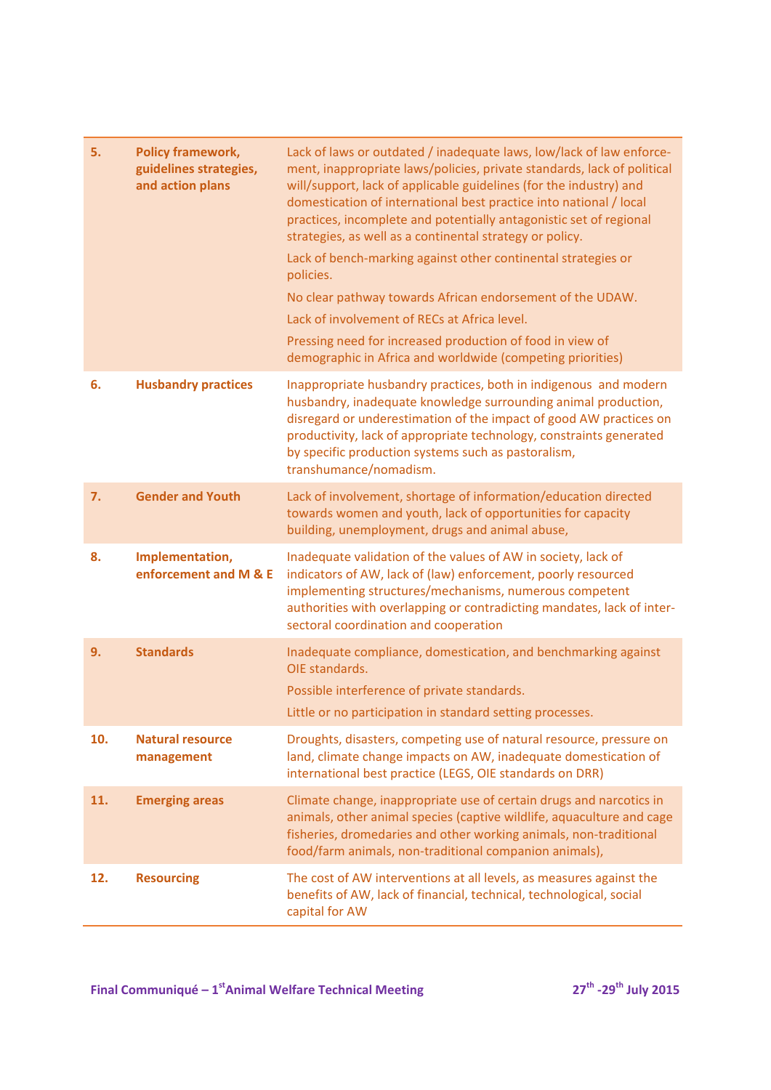| 5.<br><b>Policy framework,</b><br>guidelines strategies,<br>and action plans | Lack of laws or outdated / inadequate laws, low/lack of law enforce-<br>ment, inappropriate laws/policies, private standards, lack of political<br>will/support, lack of applicable guidelines (for the industry) and<br>domestication of international best practice into national / local<br>practices, incomplete and potentially antagonistic set of regional<br>strategies, as well as a continental strategy or policy.<br>Lack of bench-marking against other continental strategies or<br>policies.<br>No clear pathway towards African endorsement of the UDAW.<br>Lack of involvement of RECs at Africa level. |
|------------------------------------------------------------------------------|--------------------------------------------------------------------------------------------------------------------------------------------------------------------------------------------------------------------------------------------------------------------------------------------------------------------------------------------------------------------------------------------------------------------------------------------------------------------------------------------------------------------------------------------------------------------------------------------------------------------------|
|                                                                              | Pressing need for increased production of food in view of<br>demographic in Africa and worldwide (competing priorities)                                                                                                                                                                                                                                                                                                                                                                                                                                                                                                  |
| <b>Husbandry practices</b><br>6.                                             | Inappropriate husbandry practices, both in indigenous and modern<br>husbandry, inadequate knowledge surrounding animal production,<br>disregard or underestimation of the impact of good AW practices on<br>productivity, lack of appropriate technology, constraints generated<br>by specific production systems such as pastoralism,<br>transhumance/nomadism.                                                                                                                                                                                                                                                         |
| <b>Gender and Youth</b><br>7.                                                | Lack of involvement, shortage of information/education directed<br>towards women and youth, lack of opportunities for capacity<br>building, unemployment, drugs and animal abuse,                                                                                                                                                                                                                                                                                                                                                                                                                                        |
| Implementation,<br>8.<br>enforcement and M & E                               | Inadequate validation of the values of AW in society, lack of<br>indicators of AW, lack of (law) enforcement, poorly resourced<br>implementing structures/mechanisms, numerous competent<br>authorities with overlapping or contradicting mandates, lack of inter-<br>sectoral coordination and cooperation                                                                                                                                                                                                                                                                                                              |
| <b>Standards</b><br>9.                                                       | Inadequate compliance, domestication, and benchmarking against<br>OIE standards.<br>Possible interference of private standards.                                                                                                                                                                                                                                                                                                                                                                                                                                                                                          |
|                                                                              | Little or no participation in standard setting processes.                                                                                                                                                                                                                                                                                                                                                                                                                                                                                                                                                                |
| 10.<br><b>Natural resource</b><br>management                                 | Droughts, disasters, competing use of natural resource, pressure on<br>land, climate change impacts on AW, inadequate domestication of<br>international best practice (LEGS, OIE standards on DRR)                                                                                                                                                                                                                                                                                                                                                                                                                       |
| 11.<br><b>Emerging areas</b>                                                 | Climate change, inappropriate use of certain drugs and narcotics in<br>animals, other animal species (captive wildlife, aquaculture and cage<br>fisheries, dromedaries and other working animals, non-traditional<br>food/farm animals, non-traditional companion animals),                                                                                                                                                                                                                                                                                                                                              |
| <b>Resourcing</b><br>12.                                                     | The cost of AW interventions at all levels, as measures against the<br>benefits of AW, lack of financial, technical, technological, social<br>capital for AW                                                                                                                                                                                                                                                                                                                                                                                                                                                             |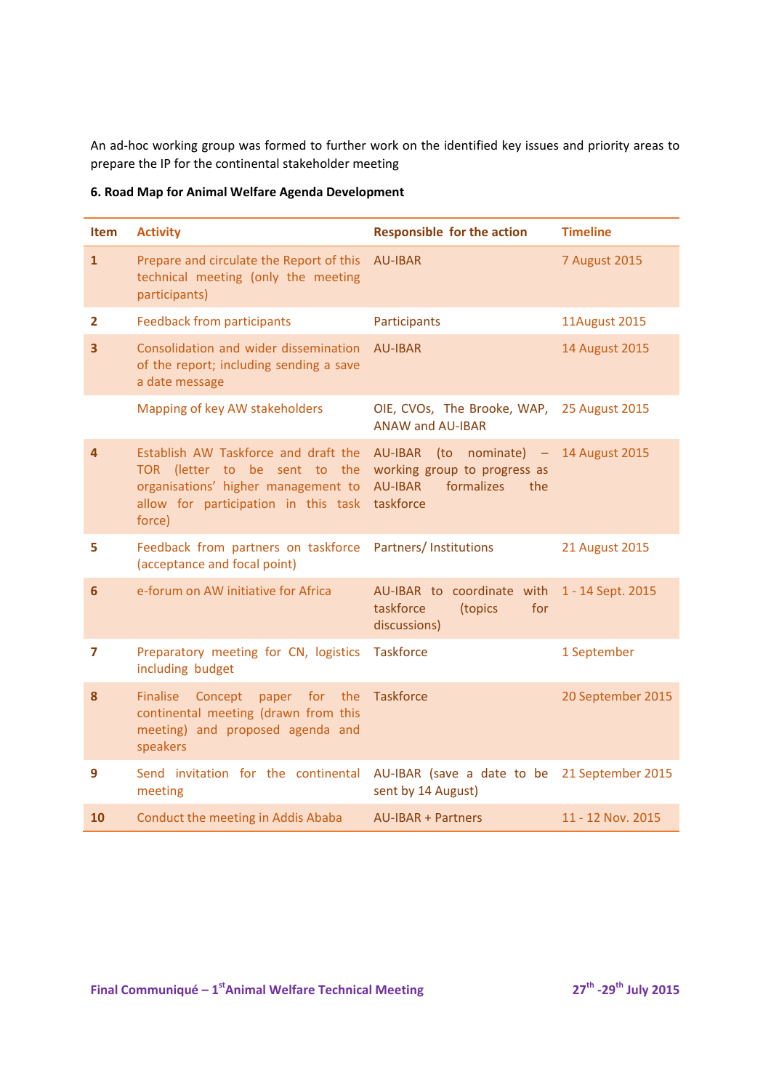An ad‐hoc working group was formed to further work on the identified key issues and priority areas to prepare the IP for the continental stakeholder meeting

| <b>Item</b>    | <b>Activity</b>                                                                                                                                                | <b>Responsible for the action</b>                                                                    | <b>Timeline</b>      |
|----------------|----------------------------------------------------------------------------------------------------------------------------------------------------------------|------------------------------------------------------------------------------------------------------|----------------------|
| $\mathbf{1}$   | Prepare and circulate the Report of this<br>technical meeting (only the meeting<br>participants)                                                               | <b>AU-IBAR</b>                                                                                       | <b>7 August 2015</b> |
| $\overline{2}$ | <b>Feedback from participants</b>                                                                                                                              | Participants                                                                                         | <b>11August 2015</b> |
| 3              | Consolidation and wider dissemination<br>of the report; including sending a save<br>a date message                                                             | <b>AU-IBAR</b>                                                                                       | 14 August 2015       |
|                | Mapping of key AW stakeholders                                                                                                                                 | OIE, CVOs, The Brooke, WAP,<br><b>ANAW and AU-IBAR</b>                                               | 25 August 2015       |
| 4              | Establish AW Taskforce and draft the<br>TOR (letter to be sent to the<br>organisations' higher management to<br>allow for participation in this task<br>force) | AU-IBAR (to nominate) -<br>working group to progress as<br>formalizes<br>AU-IBAR<br>the<br>taskforce | 14 August 2015       |
| 5              | Feedback from partners on taskforce<br>(acceptance and focal point)                                                                                            | Partners/Institutions                                                                                | 21 August 2015       |
| 6              | e-forum on AW initiative for Africa                                                                                                                            | AU-IBAR to coordinate with<br>taskforce<br>(topics<br>for<br>discussions)                            | 1 - 14 Sept. 2015    |
| 7              | Preparatory meeting for CN, logistics<br>including budget                                                                                                      | <b>Taskforce</b>                                                                                     | 1 September          |
| 8              | <b>Finalise</b><br>Concept<br>for the<br>paper<br>continental meeting (drawn from this<br>meeting) and proposed agenda and<br>speakers                         | <b>Taskforce</b>                                                                                     | 20 September 2015    |
| 9              | Send invitation for the continental<br>meeting                                                                                                                 | AU-IBAR (save a date to be<br>sent by 14 August)                                                     | 21 September 2015    |
| 10             | Conduct the meeting in Addis Ababa                                                                                                                             | <b>AU-IBAR + Partners</b>                                                                            | 11 - 12 Nov. 2015    |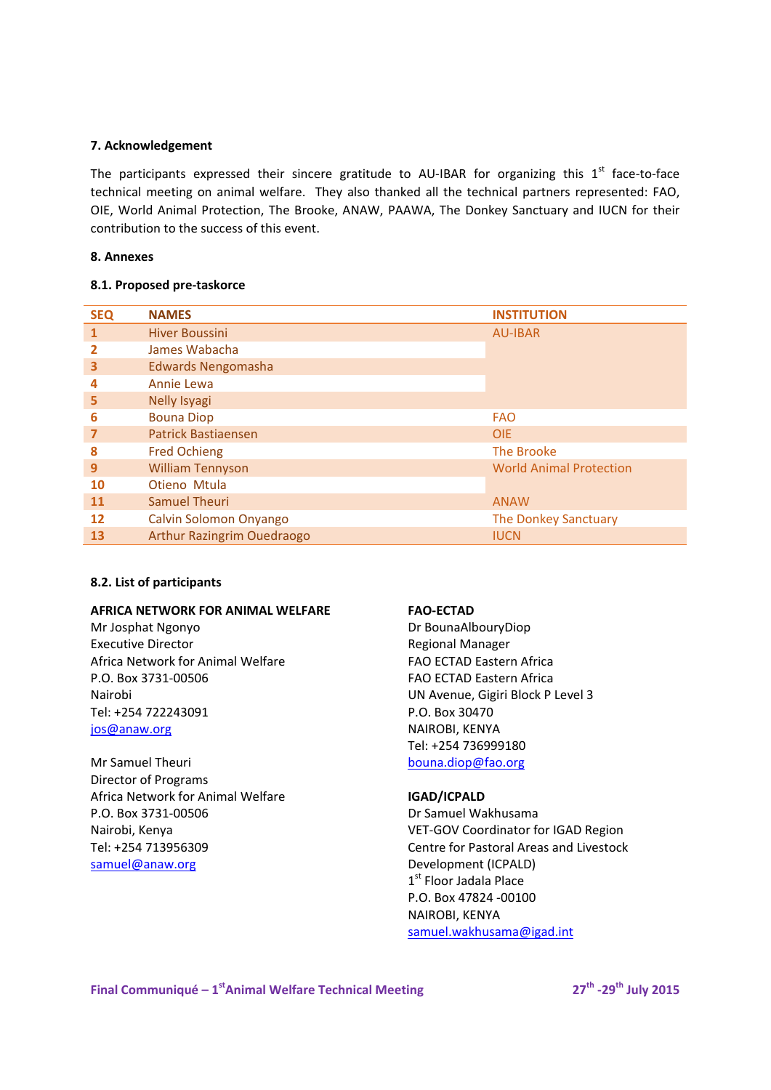### **7. Acknowledgement**

The participants expressed their sincere gratitude to AU-IBAR for organizing this  $1<sup>st</sup>$  face-to-face technical meeting on animal welfare. They also thanked all the technical partners represented: FAO, OIE, World Animal Protection, The Brooke, ANAW, PAAWA, The Donkey Sanctuary and IUCN for their contribution to the success of this event.

### **8. Annexes**

## **8.1. Proposed pre‐taskorce**

| <b>SEQ</b> | <b>NAMES</b>                      | <b>INSTITUTION</b>             |
|------------|-----------------------------------|--------------------------------|
|            | <b>Hiver Boussini</b>             | <b>AU-IBAR</b>                 |
| 2          | James Wabacha                     |                                |
| 3          | <b>Edwards Nengomasha</b>         |                                |
| 4          | Annie Lewa                        |                                |
| 5          | <b>Nelly Isyagi</b>               |                                |
| 6          | <b>Bouna Diop</b>                 | <b>FAO</b>                     |
| 7          | <b>Patrick Bastiaensen</b>        | <b>OIE</b>                     |
| 8          | <b>Fred Ochieng</b>               | The Brooke                     |
| 9          | <b>William Tennyson</b>           | <b>World Animal Protection</b> |
| <b>10</b>  | Otieno Mtula                      |                                |
| <b>11</b>  | <b>Samuel Theuri</b>              | <b>ANAW</b>                    |
| 12         | Calvin Solomon Onyango            | The Donkey Sanctuary           |
| 13         | <b>Arthur Razingrim Ouedraogo</b> | <b>IUCN</b>                    |

# **8.2. List of participants**

### **AFRICA NETWORK FOR ANIMAL WELFARE**

Mr Josphat Ngonyo Executive Director Africa Network for Animal Welfare P.O. Box 3731‐00506 Nairobi Tel: +254 722243091 jos@anaw.org

Mr Samuel Theuri Director of Programs Africa Network for Animal Welfare P.O. Box 3731‐00506 Nairobi, Kenya Tel: +254 713956309 samuel@anaw.org

# **FAO‐ECTAD**

Dr BounaAlbouryDiop Regional Manager FAO ECTAD Eastern Africa FAO ECTAD Eastern Africa UN Avenue, Gigiri Block P Level 3 P.O. Box 30470 NAIROBI, KENYA Tel: +254 736999180 bouna.diop@fao.org

# **IGAD/ICPALD**

Dr Samuel Wakhusama VET‐GOV Coordinator for IGAD Region Centre for Pastoral Areas and Livestock Development (ICPALD) 1<sup>st</sup> Floor Jadala Place P.O. Box 47824 ‐00100 NAIROBI, KENYA samuel.wakhusama@igad.int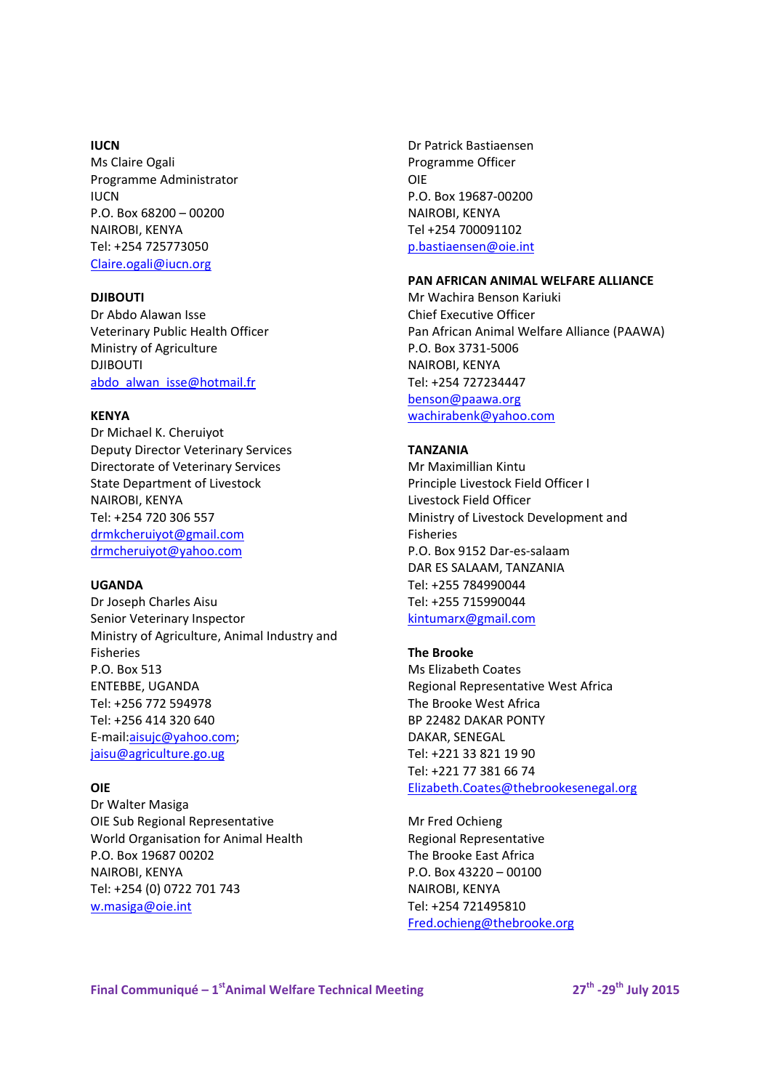#### **IUCN**

Ms Claire Ogali Programme Administrator **ILICN** P.O. Box 68200 – 00200 NAIROBI, KENYA Tel: +254 725773050 Claire.ogali@iucn.org

#### **DJIBOUTI**

Dr Abdo Alawan Isse Veterinary Public Health Officer Ministry of Agriculture DJIBOUTI abdo\_alwan\_isse@hotmail.fr

## **KENYA**

Dr Michael K. Cheruiyot Deputy Director Veterinary Services Directorate of Veterinary Services State Department of Livestock NAIROBI, KENYA Tel: +254 720 306 557 drmkcheruiyot@gmail.com drmcheruiyot@yahoo.com

#### **UGANDA**

Dr Joseph Charles Aisu Senior Veterinary Inspector Ministry of Agriculture, Animal Industry and Fisheries P.O. Box 513 ENTEBBE, UGANDA Tel: +256 772 594978 Tel: +256 414 320 640 E‐mail:aisujc@yahoo.com; jaisu@agriculture.go.ug

#### **OIE**

Dr Walter Masiga OIE Sub Regional Representative World Organisation for Animal Health P.O. Box 19687 00202 NAIROBI, KENYA Tel: +254 (0) 0722 701 743 w.masiga@oie.int

Dr Patrick Bastiaensen Programme Officer OIE P.O. Box 19687‐00200 NAIROBI, KENYA Tel +254 700091102 p.bastiaensen@oie.int

# **PAN AFRICAN ANIMAL WELFARE ALLIANCE**

Mr Wachira Benson Kariuki Chief Executive Officer Pan African Animal Welfare Alliance (PAAWA) P.O. Box 3731‐5006 NAIROBI, KENYA Tel: +254 727234447 benson@paawa.org

wachirabenk@yahoo.com

# **TANZANIA**

Mr Maximillian Kintu Principle Livestock Field Officer I Livestock Field Officer Ministry of Livestock Development and Fisheries P.O. Box 9152 Dar‐es‐salaam DAR ES SALAAM, TANZANIA Tel: +255 784990044 Tel: +255 715990044 kintumarx@gmail.com

# **The Brooke**

Ms Elizabeth Coates Regional Representative West Africa The Brooke West Africa BP 22482 DAKAR PONTY DAKAR, SENEGAL Tel: +221 33 821 19 90 Tel: +221 77 381 66 74 Elizabeth.Coates@thebrookesenegal.org

Mr Fred Ochieng Regional Representative The Brooke East Africa P.O. Box 43220 – 00100 NAIROBI, KENYA Tel: +254 721495810 Fred.ochieng@thebrooke.org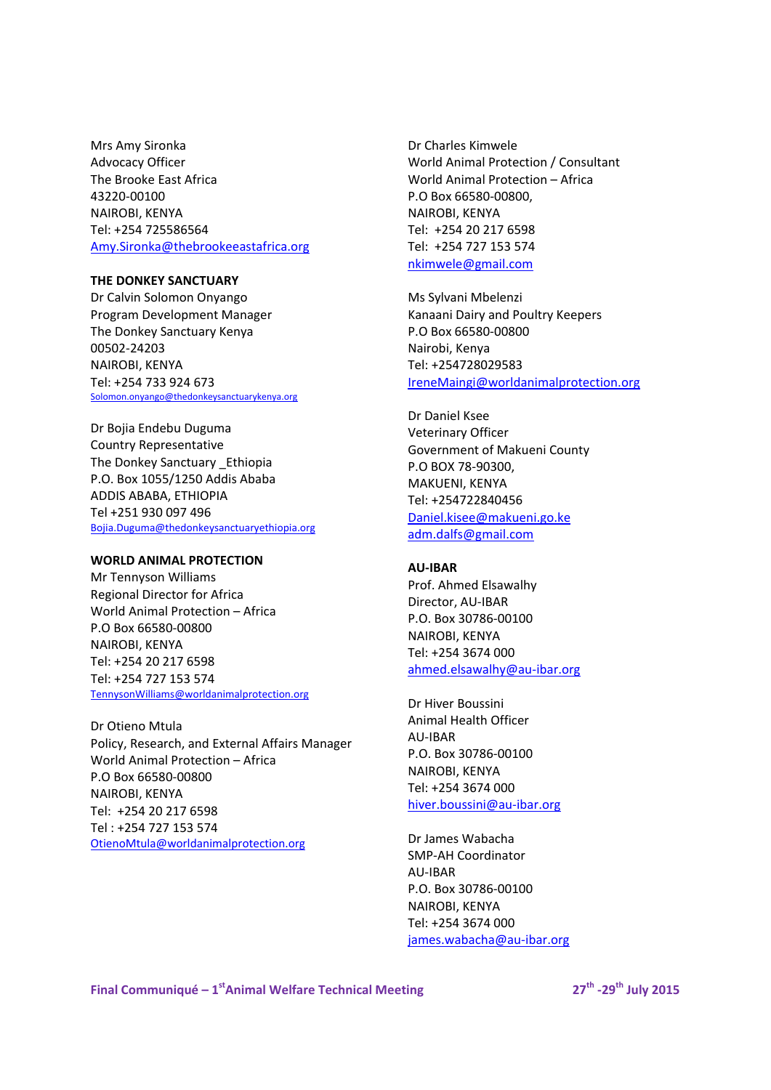Mrs Amy Sironka Advocacy Officer The Brooke East Africa 43220‐00100 NAIROBI, KENYA Tel: +254 725586564 Amy.Sironka@thebrookeeastafrica.org

### **THE DONKEY SANCTUARY**

Dr Calvin Solomon Onyango Program Development Manager The Donkey Sanctuary Kenya 00502‐24203 NAIROBI, KENYA Tel: +254 733 924 673 Solomon.onyango@thedonkeysanctuarykenya.org

Dr Bojia Endebu Duguma Country Representative The Donkey Sanctuary \_Ethiopia P.O. Box 1055/1250 Addis Ababa ADDIS ABABA, ETHIOPIA Tel +251 930 097 496 Bojia.Duguma@thedonkeysanctuaryethiopia.org

## **WORLD ANIMAL PROTECTION**

Mr Tennyson Williams Regional Director for Africa World Animal Protection – Africa P.O Box 66580‐00800 NAIROBI, KENYA Tel: +254 20 217 6598 Tel: +254 727 153 574 TennysonWilliams@worldanimalprotection.org

Dr Otieno Mtula Policy, Research, and External Affairs Manager World Animal Protection – Africa P.O Box 66580‐00800 NAIROBI, KENYA Tel: +254 20 217 6598 Tel : +254 727 153 574 OtienoMtula@worldanimalprotection.org

Dr Charles Kimwele World Animal Protection / Consultant World Animal Protection – Africa P.O Box 66580‐00800, NAIROBI, KENYA Tel: +254 20 217 6598 Tel: +254 727 153 574 nkimwele@gmail.com

Ms Sylvani Mbelenzi Kanaani Dairy and Poultry Keepers P.O Box 66580‐00800 Nairobi, Kenya Tel: +254728029583 IreneMaingi@worldanimalprotection.org

Dr Daniel Ksee Veterinary Officer Government of Makueni County P.O BOX 78‐90300, MAKUENI, KENYA Tel: +254722840456 Daniel.kisee@makueni.go.ke adm.dalfs@gmail.com

### **AU‐IBAR**

Prof. Ahmed Elsawalhy Director, AU‐IBAR P.O. Box 30786‐00100 NAIROBI, KENYA Tel: +254 3674 000 ahmed.elsawalhy@au‐ibar.org

Dr Hiver Boussini Animal Health Officer AU‐IBAR P.O. Box 30786‐00100 NAIROBI, KENYA Tel: +254 3674 000 hiver.boussini@au‐ibar.org

Dr James Wabacha SMP‐AH Coordinator AU‐IBAR P.O. Box 30786‐00100 NAIROBI, KENYA Tel: +254 3674 000 james.wabacha@au‐ibar.org